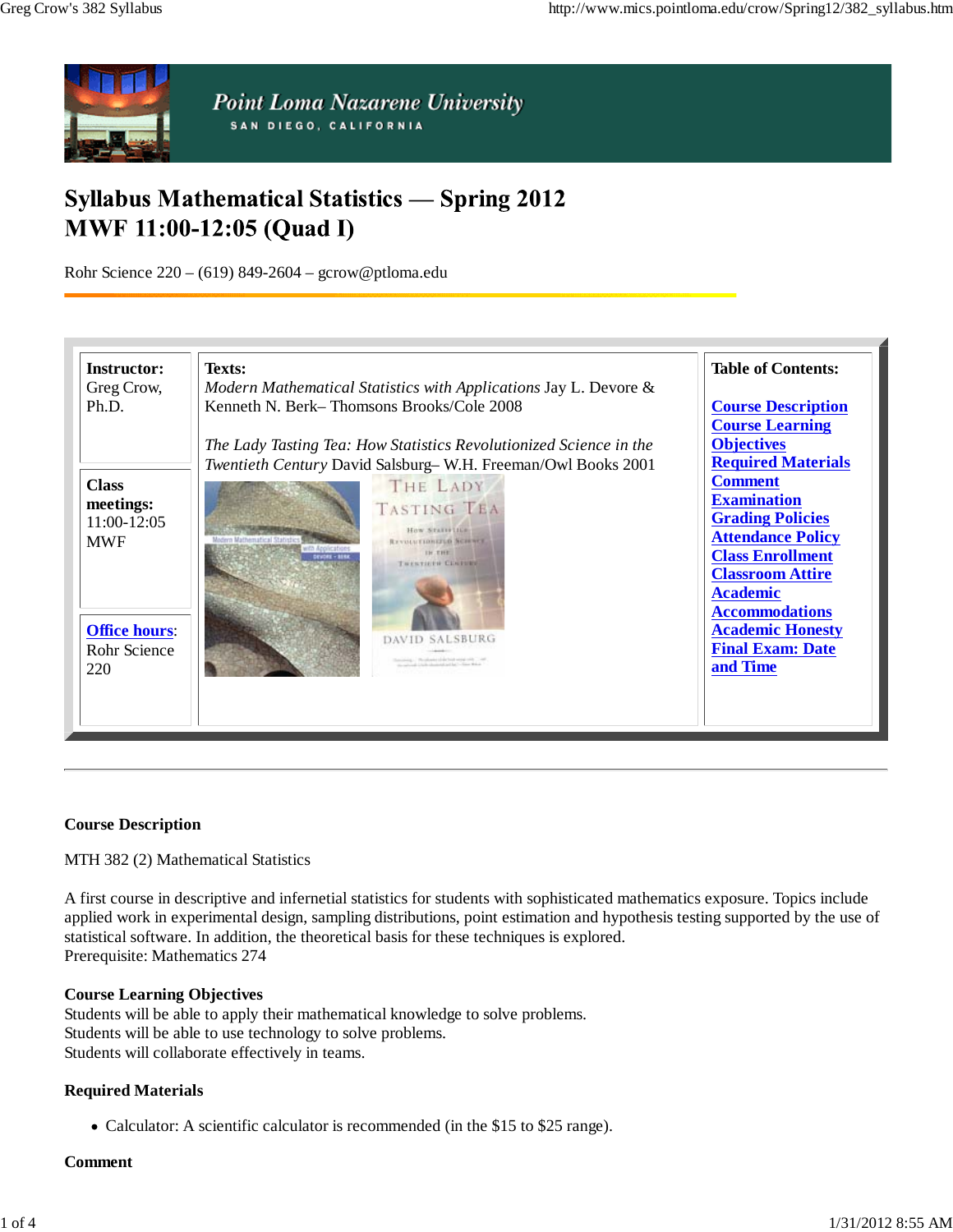

# **Syllabus Mathematical Statistics - Spring 2012 MWF 11:00-12:05 (Quad I)**

Rohr Science 220 – (619) 849-2604 – gcrow@ptloma.edu

| <b>Instructor:</b><br>Greg Crow,                       | Texts:<br>Modern Mathematical Statistics with Applications Jay L. Devore &                                                                                                      | <b>Table of Contents:</b>                                                                                                                                                                     |  |
|--------------------------------------------------------|---------------------------------------------------------------------------------------------------------------------------------------------------------------------------------|-----------------------------------------------------------------------------------------------------------------------------------------------------------------------------------------------|--|
| Ph.D.                                                  | Kenneth N. Berk–Thomsons Brooks/Cole 2008<br>The Lady Tasting Tea: How Statistics Revolutionized Science in the<br>Twentieth Century David Salsburg-W.H. Freeman/Owl Books 2001 | <b>Course Description</b><br><b>Course Learning</b><br><b>Objectives</b><br><b>Required Materials</b>                                                                                         |  |
| <b>Class</b><br>meetings:<br>11:00-12:05<br><b>MWF</b> | THE LADY<br><b>TASTING TEA</b><br>How Statistics<br><b>REVISIATIONIZED MORNEY</b><br><b>TH THE</b><br>TRESTREN CENTRE                                                           | <b>Comment</b><br><b>Examination</b><br><b>Grading Policies</b><br><b>Attendance Policy</b><br><b>Class Enrollment</b><br><b>Classroom Attire</b><br><b>Academic</b><br><b>Accommodations</b> |  |
| <b>Office hours:</b><br>Rohr Science<br>220            |                                                                                                                                                                                 | <b>Academic Honesty</b><br><b>Final Exam: Date</b><br>and Time                                                                                                                                |  |

#### **Course Description**

MTH 382 (2) Mathematical Statistics

A first course in descriptive and infernetial statistics for students with sophisticated mathematics exposure. Topics include applied work in experimental design, sampling distributions, point estimation and hypothesis testing supported by the use of statistical software. In addition, the theoretical basis for these techniques is explored. Prerequisite: Mathematics 274

#### **Course Learning Objectives**

Students will be able to apply their mathematical knowledge to solve problems. Students will be able to use technology to solve problems. Students will collaborate effectively in teams.

#### **Required Materials**

• Calculator: A scientific calculator is recommended (in the \$15 to \$25 range).

#### **Comment**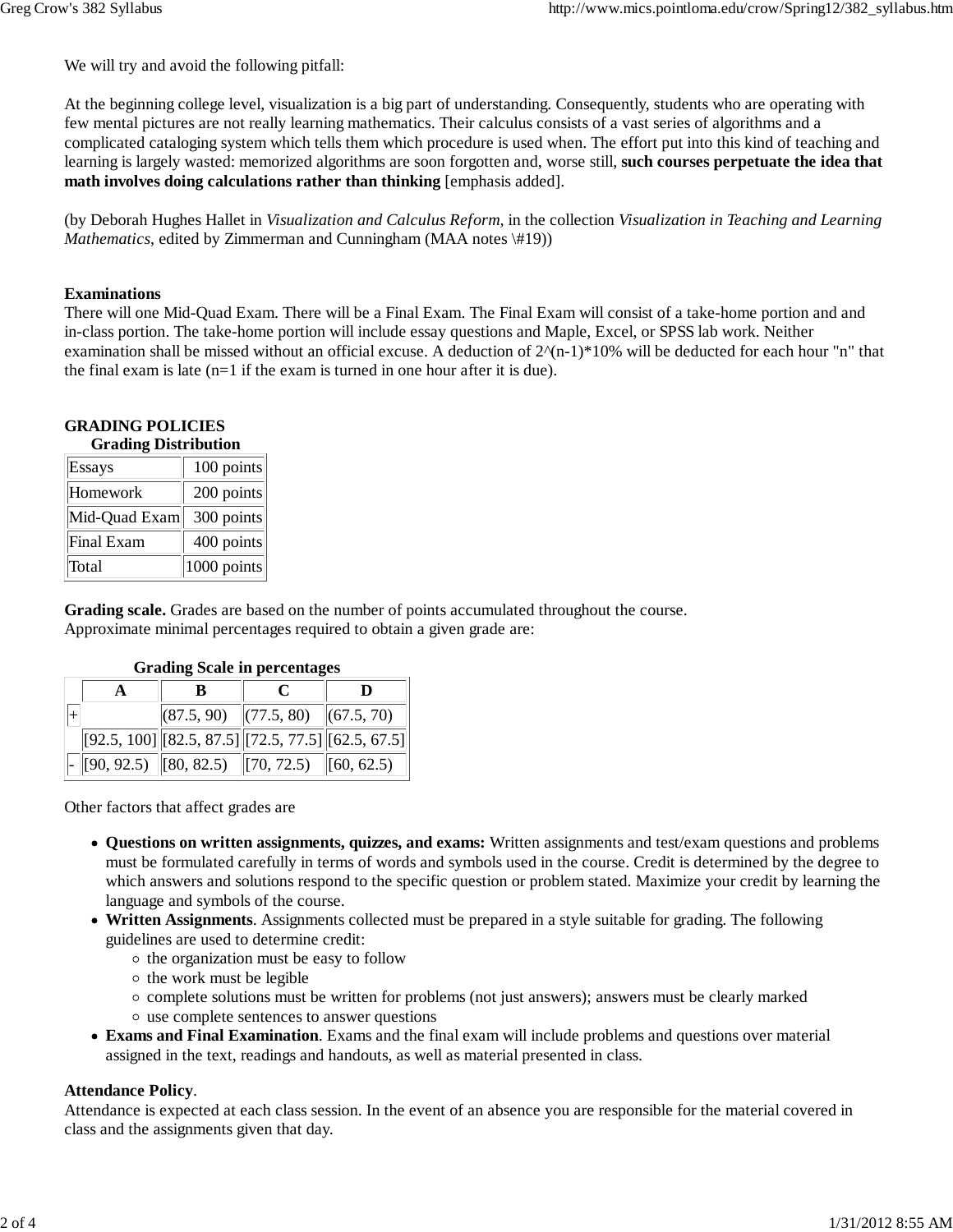We will try and avoid the following pitfall:

At the beginning college level, visualization is a big part of understanding. Consequently, students who are operating with few mental pictures are not really learning mathematics. Their calculus consists of a vast series of algorithms and a complicated cataloging system which tells them which procedure is used when. The effort put into this kind of teaching and learning is largely wasted: memorized algorithms are soon forgotten and, worse still, **such courses perpetuate the idea that math involves doing calculations rather than thinking** [emphasis added].

(by Deborah Hughes Hallet in *Visualization and Calculus Reform,* in the collection *Visualization in Teaching and Learning Mathematics*, edited by Zimmerman and Cunningham (MAA notes \#19))

#### **Examinations**

There will one Mid-Quad Exam. There will be a Final Exam. The Final Exam will consist of a take-home portion and and in-class portion. The take-home portion will include essay questions and Maple, Excel, or SPSS lab work. Neither examination shall be missed without an official excuse. A deduction of  $2^{\wedge}(n-1)^*10^{\wedge}$  will be deducted for each hour "n" that the final exam is late  $(n=1)$  if the exam is turned in one hour after it is due).

#### **GRADING POLICIES Grading Distribution**

| OF GUILLE DISTERVITOIT |                |  |  |  |
|------------------------|----------------|--|--|--|
| Essays                 | 100 points     |  |  |  |
| Homework               | 200 points     |  |  |  |
| Mid-Quad Exam          | 300 points     |  |  |  |
| Final Exam             | 400 points     |  |  |  |
| Total                  | $ 1000$ points |  |  |  |

**Grading scale.** Grades are based on the number of points accumulated throughout the course. Approximate minimal percentages required to obtain a given grade are:

| <b>OF AULTE DUATE IN DET CENTALES</b> |  |  |                                                        |                                                            |  |  |  |  |
|---------------------------------------|--|--|--------------------------------------------------------|------------------------------------------------------------|--|--|--|--|
|                                       |  |  |                                                        |                                                            |  |  |  |  |
|                                       |  |  | $ (87.5, 90)$ $ (77.5, 80)$ $ (67.5, 70)$              |                                                            |  |  |  |  |
|                                       |  |  |                                                        | $[92.5, 100]$ $[82.5, 87.5]$ $[72.5, 77.5]$ $[62.5, 67.5]$ |  |  |  |  |
|                                       |  |  | $\ $ - [[90, 92.5) [[80, 82.5) [[70, 72.5) [[60, 62.5) |                                                            |  |  |  |  |

### **Grading Scale in percentages**

Other factors that affect grades are

- **Questions on written assignments, quizzes, and exams:** Written assignments and test/exam questions and problems must be formulated carefully in terms of words and symbols used in the course. Credit is determined by the degree to which answers and solutions respond to the specific question or problem stated. Maximize your credit by learning the language and symbols of the course.
- **Written Assignments**. Assignments collected must be prepared in a style suitable for grading. The following guidelines are used to determine credit:
	- $\circ$  the organization must be easy to follow
	- $\circ$  the work must be legible
	- complete solutions must be written for problems (not just answers); answers must be clearly marked
	- use complete sentences to answer questions
- **Exams and Final Examination**. Exams and the final exam will include problems and questions over material assigned in the text, readings and handouts, as well as material presented in class.

#### **Attendance Policy**.

Attendance is expected at each class session. In the event of an absence you are responsible for the material covered in class and the assignments given that day.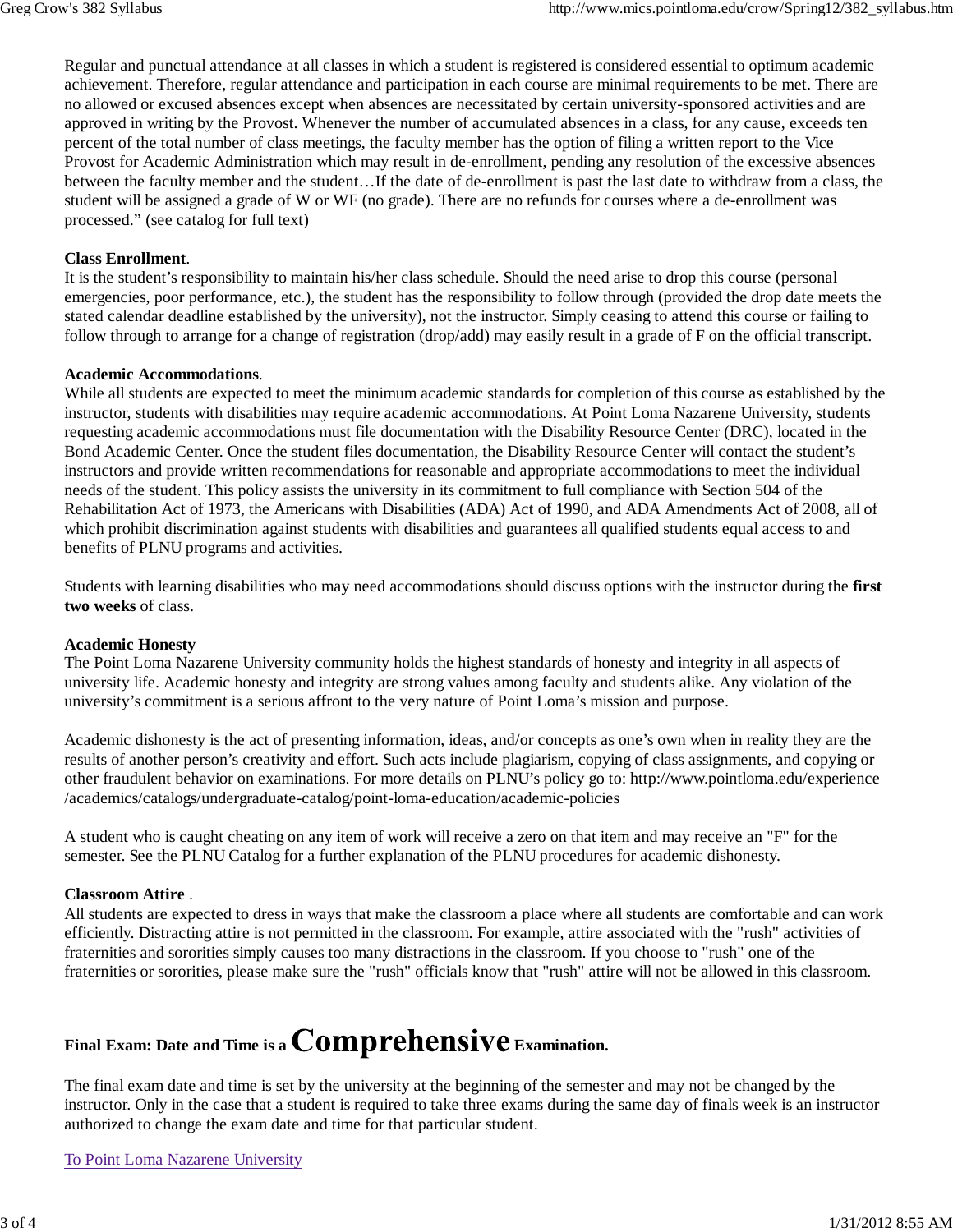Regular and punctual attendance at all classes in which a student is registered is considered essential to optimum academic achievement. Therefore, regular attendance and participation in each course are minimal requirements to be met. There are no allowed or excused absences except when absences are necessitated by certain university-sponsored activities and are approved in writing by the Provost. Whenever the number of accumulated absences in a class, for any cause, exceeds ten percent of the total number of class meetings, the faculty member has the option of filing a written report to the Vice Provost for Academic Administration which may result in de-enrollment, pending any resolution of the excessive absences between the faculty member and the student…If the date of de-enrollment is past the last date to withdraw from a class, the student will be assigned a grade of W or WF (no grade). There are no refunds for courses where a de-enrollment was processed." (see catalog for full text)

#### **Class Enrollment**.

It is the student's responsibility to maintain his/her class schedule. Should the need arise to drop this course (personal emergencies, poor performance, etc.), the student has the responsibility to follow through (provided the drop date meets the stated calendar deadline established by the university), not the instructor. Simply ceasing to attend this course or failing to follow through to arrange for a change of registration (drop/add) may easily result in a grade of F on the official transcript.

#### **Academic Accommodations**.

While all students are expected to meet the minimum academic standards for completion of this course as established by the instructor, students with disabilities may require academic accommodations. At Point Loma Nazarene University, students requesting academic accommodations must file documentation with the Disability Resource Center (DRC), located in the Bond Academic Center. Once the student files documentation, the Disability Resource Center will contact the student's instructors and provide written recommendations for reasonable and appropriate accommodations to meet the individual needs of the student. This policy assists the university in its commitment to full compliance with Section 504 of the Rehabilitation Act of 1973, the Americans with Disabilities (ADA) Act of 1990, and ADA Amendments Act of 2008, all of which prohibit discrimination against students with disabilities and guarantees all qualified students equal access to and benefits of PLNU programs and activities.

Students with learning disabilities who may need accommodations should discuss options with the instructor during the **first two weeks** of class.

#### **Academic Honesty**

The Point Loma Nazarene University community holds the highest standards of honesty and integrity in all aspects of university life. Academic honesty and integrity are strong values among faculty and students alike. Any violation of the university's commitment is a serious affront to the very nature of Point Loma's mission and purpose.

Academic dishonesty is the act of presenting information, ideas, and/or concepts as one's own when in reality they are the results of another person's creativity and effort. Such acts include plagiarism, copying of class assignments, and copying or other fraudulent behavior on examinations. For more details on PLNU's policy go to: http://www.pointloma.edu/experience /academics/catalogs/undergraduate-catalog/point-loma-education/academic-policies

A student who is caught cheating on any item of work will receive a zero on that item and may receive an "F" for the semester. See the PLNU Catalog for a further explanation of the PLNU procedures for academic dishonesty.

#### **Classroom Attire** .

All students are expected to dress in ways that make the classroom a place where all students are comfortable and can work efficiently. Distracting attire is not permitted in the classroom. For example, attire associated with the "rush" activities of fraternities and sororities simply causes too many distractions in the classroom. If you choose to "rush" one of the fraternities or sororities, please make sure the "rush" officials know that "rush" attire will not be allowed in this classroom.

# Final Exam: Date and Time is a **Comprehensive** Examination.

The final exam date and time is set by the university at the beginning of the semester and may not be changed by the instructor. Only in the case that a student is required to take three exams during the same day of finals week is an instructor authorized to change the exam date and time for that particular student.

#### To Point Loma Nazarene University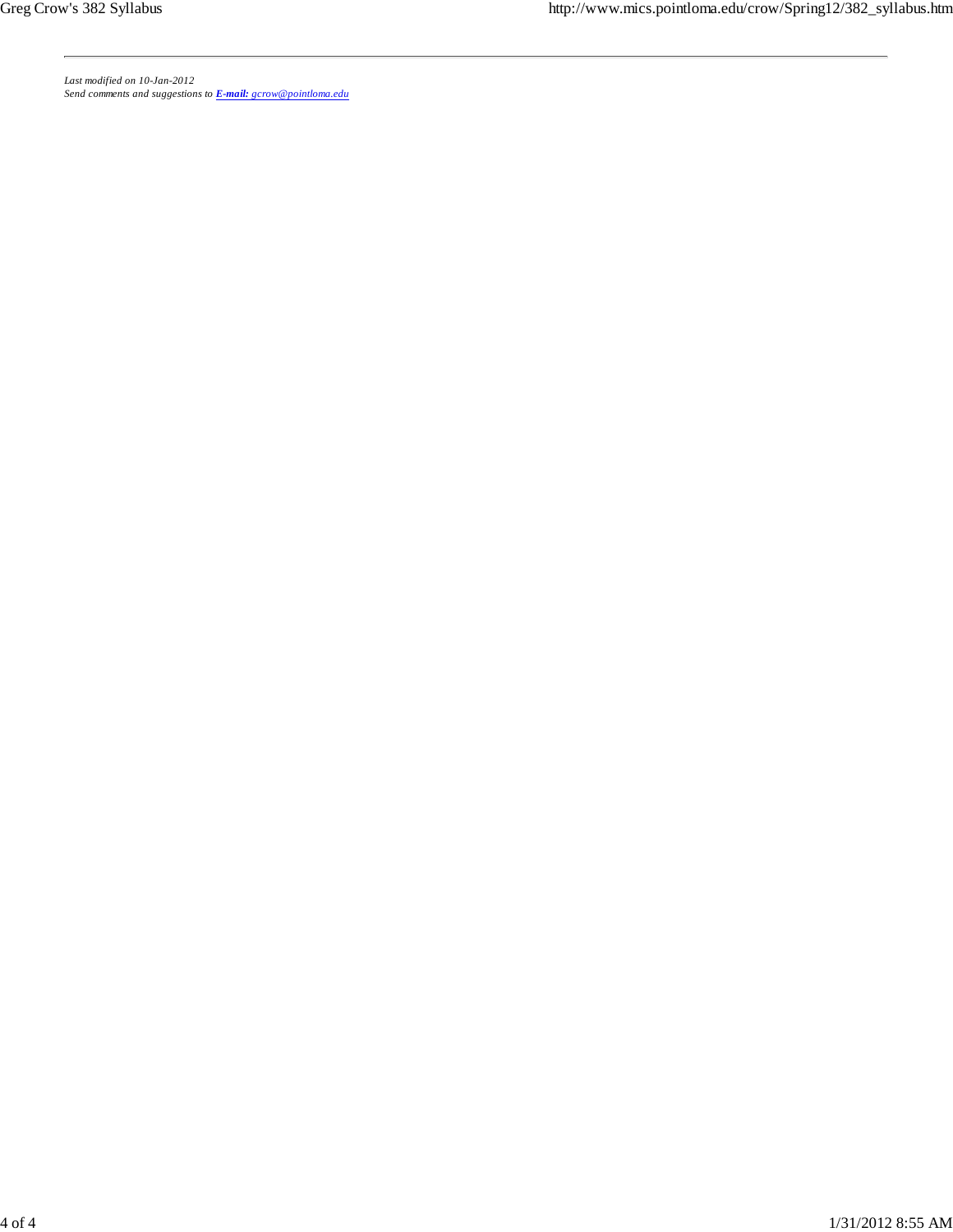*Last modified on 10-Jan-2012 Send comments and suggestions to E-mail: gcrow@pointloma.edu*